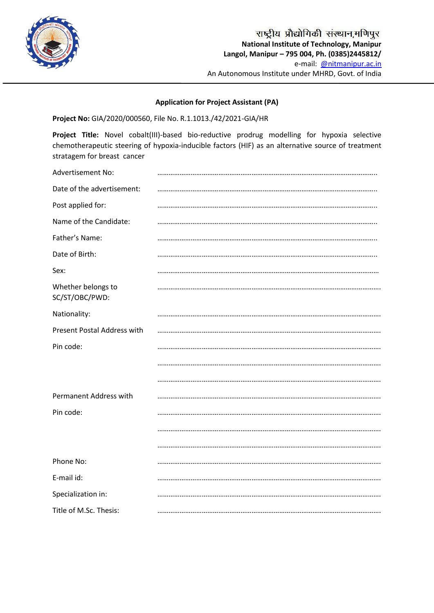

## **Application for Project Assistant (PA)**

**Project No:** GIA/2020/000560, File No. R.1.1013./42/2021-GIA/HR

**Project Title:** Novel cobalt(III)-based bio-reductive prodrug modelling for hypoxia selective chemotherapeutic steering of hypoxia-inducible factors (HIF) as an alternative source of treatment stratagem for breast cancer

| Advertisement No:                    |  |
|--------------------------------------|--|
| Date of the advertisement:           |  |
| Post applied for:                    |  |
| Name of the Candidate:               |  |
| Father's Name:                       |  |
| Date of Birth:                       |  |
| Sex:                                 |  |
| Whether belongs to<br>SC/ST/OBC/PWD: |  |
| Nationality:                         |  |
| Present Postal Address with          |  |
| Pin code:                            |  |
|                                      |  |
|                                      |  |
| Permanent Address with               |  |
| Pin code:                            |  |
|                                      |  |
|                                      |  |
| Phone No:                            |  |
| E-mail id:                           |  |
| Specialization in:                   |  |
| Title of M.Sc. Thesis:               |  |